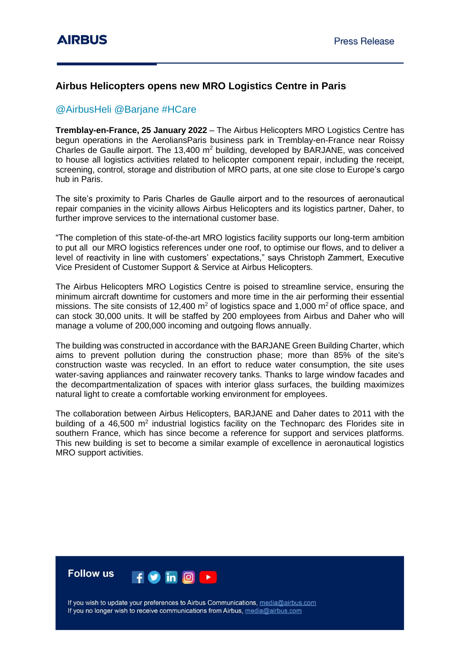## **Airbus Helicopters opens new MRO Logistics Centre in Paris**

## @AirbusHeli @Barjane #HCare

**Tremblay-en-France, 25 January 2022** – The Airbus Helicopters MRO Logistics Centre has begun operations in the AeroliansParis business park in Tremblay-en-France near Roissy Charles de Gaulle airport. The 13,400  $m<sup>2</sup>$  building, developed by BARJANE, was conceived to house all logistics activities related to helicopter component repair, including the receipt, screening, control, storage and distribution of MRO parts, at one site close to Europe's cargo hub in Paris.

The site's proximity to Paris Charles de Gaulle airport and to the resources of aeronautical repair companies in the vicinity allows Airbus Helicopters and its logistics partner, Daher, to further improve services to the international customer base.

"The completion of this state-of-the-art MRO logistics facility supports our long-term ambition to put all our MRO logistics references under one roof, to optimise our flows, and to deliver a level of reactivity in line with customers' expectations," says Christoph Zammert, Executive Vice President of Customer Support & Service at Airbus Helicopters.

The Airbus Helicopters MRO Logistics Centre is poised to streamline service, ensuring the minimum aircraft downtime for customers and more time in the air performing their essential missions. The site consists of 12,400  $m^2$  of logistics space and 1,000  $m^2$  of office space, and can stock 30,000 units. It will be staffed by 200 employees from Airbus and Daher who will manage a volume of 200,000 incoming and outgoing flows annually.

The building was constructed in accordance with the BARJANE Green Building Charter, which aims to prevent pollution during the construction phase; more than 85% of the site's construction waste was recycled. In an effort to reduce water consumption, the site uses water-saving appliances and rainwater recovery tanks. Thanks to large window facades and the decompartmentalization of spaces with interior glass surfaces, the building maximizes natural light to create a comfortable working environment for employees.

The collaboration between Airbus Helicopters, BARJANE and Daher dates to 2011 with the building of a 46,500  $m^2$  industrial logistics facility on the Technoparc des Florides site in southern France, which has since become a reference for support and services platforms. This new building is set to become a similar example of excellence in aeronautical logistics MRO support activities.



If you wish to update your preferences to Airbus Communications, media@airbus.com If you no longer wish to receive communications from Airbus, media@airbus.com